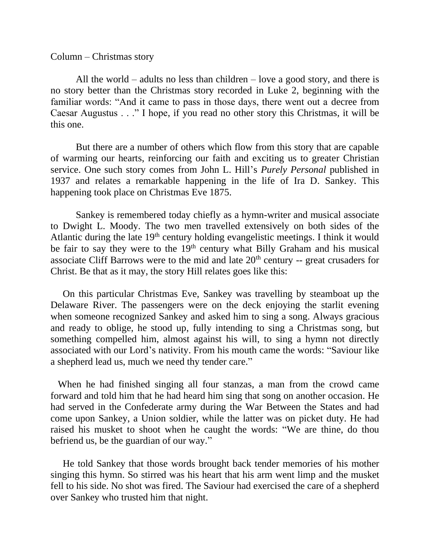Column – Christmas story

All the world – adults no less than children – love a good story, and there is no story better than the Christmas story recorded in Luke 2, beginning with the familiar words: "And it came to pass in those days, there went out a decree from Caesar Augustus . . ." I hope, if you read no other story this Christmas, it will be this one.

But there are a number of others which flow from this story that are capable of warming our hearts, reinforcing our faith and exciting us to greater Christian service. One such story comes from John L. Hill's *Purely Personal* published in 1937 and relates a remarkable happening in the life of Ira D. Sankey. This happening took place on Christmas Eve 1875.

Sankey is remembered today chiefly as a hymn-writer and musical associate to Dwight L. Moody. The two men travelled extensively on both sides of the Atlantic during the late  $19<sup>th</sup>$  century holding evangelistic meetings. I think it would be fair to say they were to the  $19<sup>th</sup>$  century what Billy Graham and his musical associate Cliff Barrows were to the mid and late  $20<sup>th</sup>$  century -- great crusaders for Christ. Be that as it may, the story Hill relates goes like this:

 On this particular Christmas Eve, Sankey was travelling by steamboat up the Delaware River. The passengers were on the deck enjoying the starlit evening when someone recognized Sankey and asked him to sing a song. Always gracious and ready to oblige, he stood up, fully intending to sing a Christmas song, but something compelled him, almost against his will, to sing a hymn not directly associated with our Lord's nativity. From his mouth came the words: "Saviour like a shepherd lead us, much we need thy tender care."

When he had finished singing all four stanzas, a man from the crowd came forward and told him that he had heard him sing that song on another occasion. He had served in the Confederate army during the War Between the States and had come upon Sankey, a Union soldier, while the latter was on picket duty. He had raised his musket to shoot when he caught the words: "We are thine, do thou befriend us, be the guardian of our way."

 He told Sankey that those words brought back tender memories of his mother singing this hymn. So stirred was his heart that his arm went limp and the musket fell to his side. No shot was fired. The Saviour had exercised the care of a shepherd over Sankey who trusted him that night.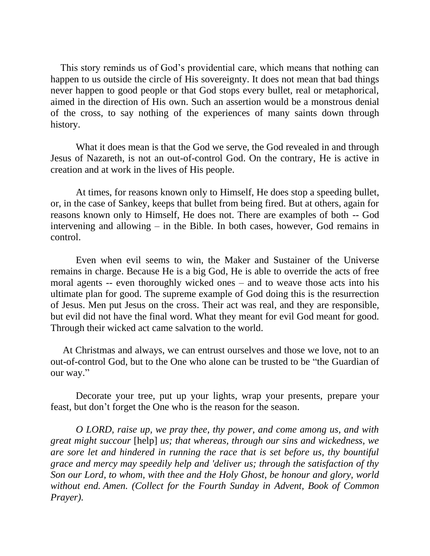This story reminds us of God's providential care, which means that nothing can happen to us outside the circle of His sovereignty. It does not mean that bad things never happen to good people or that God stops every bullet, real or metaphorical, aimed in the direction of His own. Such an assertion would be a monstrous denial of the cross, to say nothing of the experiences of many saints down through history.

What it does mean is that the God we serve, the God revealed in and through Jesus of Nazareth, is not an out-of-control God. On the contrary, He is active in creation and at work in the lives of His people.

At times, for reasons known only to Himself, He does stop a speeding bullet, or, in the case of Sankey, keeps that bullet from being fired. But at others, again for reasons known only to Himself, He does not. There are examples of both -- God intervening and allowing – in the Bible. In both cases, however, God remains in control.

Even when evil seems to win, the Maker and Sustainer of the Universe remains in charge. Because He is a big God, He is able to override the acts of free moral agents -- even thoroughly wicked ones – and to weave those acts into his ultimate plan for good. The supreme example of God doing this is the resurrection of Jesus. Men put Jesus on the cross. Their act was real, and they are responsible, but evil did not have the final word. What they meant for evil God meant for good. Through their wicked act came salvation to the world.

 At Christmas and always, we can entrust ourselves and those we love, not to an out-of-control God, but to the One who alone can be trusted to be "the Guardian of our way."

Decorate your tree, put up your lights, wrap your presents, prepare your feast, but don't forget the One who is the reason for the season.

*O LORD, raise up, we pray thee, thy power, and come among us, and with great might succour* [help] *us; that whereas, through our sins and wickedness, we are sore let and hindered in running the race that is set before us, thy bountiful grace and mercy may speedily help and 'deliver us; through the satisfaction of thy Son our Lord, to whom, with thee and the Holy Ghost, be honour and glory, world without end. Amen. (Collect for the Fourth Sunday in Advent, Book of Common Prayer).*